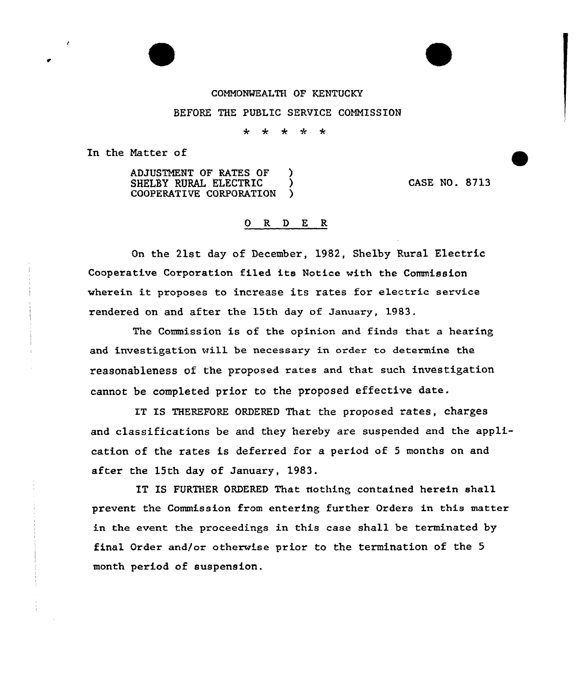## CONNONMEALTH QF KENTUCKY

BEFORE THE PUBLIC SERVICE CONNISS ION

÷  $\ddot{\phantom{0}}$  $\bullet$  $\mathbf{r}$  $\ddot{\textbf{x}}$ 

In the Natter of

ADJUSTNENT OF RATES OF ) SHELBY RURAL ELECTRIC )<br>COOPERATIVE CORPORATION ) COOPERATIVE CORPORATION

CASE NO. 8713

## 0 R <sup>D</sup> E R

On the 21st day of December, 1982, Shelby Rural Electric Cooperative Corporation filed its Notice with the Commission wherein it proposes to increase its rates for electric service rendered on and after the 15th day of January, 1983.

The Commission is of the opinion and finds that a hearing and investigation will be necessary in order to determine the reasonableness of the proposed rates and that such investigation cannot be completed prior to the proposed effective date.

IT IS THEREFORE ORDERED That the proposed rates, charges and classifications be and they hereby are suspended and the application of the rates is deferred for a period of <sup>5</sup> months on and after the 15th day of January, 1983.

IT IS FURTHER ORDERED That nothing contained herein shall prevent the Commission from entering further Orders in this matter in the event the proceedings in this case shall be terminated by final Order and/or otherwise prior to the termination of the 5 month period of suspension.